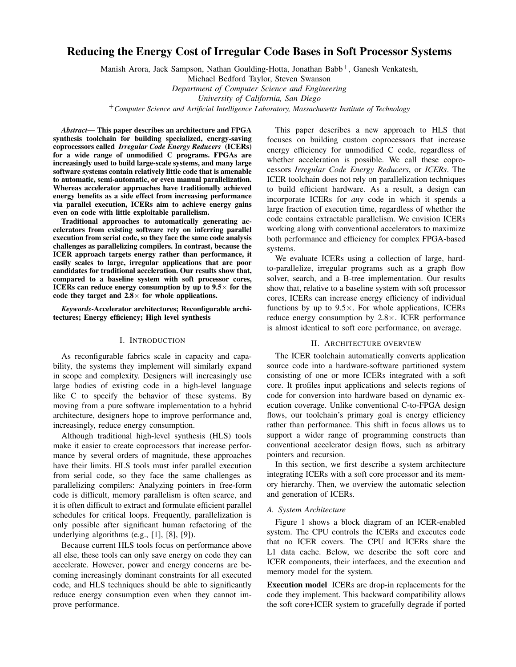# Reducing the Energy Cost of Irregular Code Bases in Soft Processor Systems

Manish Arora, Jack Sampson, Nathan Goulding-Hotta, Jonathan Babb+, Ganesh Venkatesh,

Michael Bedford Taylor, Steven Swanson

*Department of Computer Science and Engineering*

*University of California, San Diego*

<sup>+</sup>*Computer Science and Artificial Intelligence Laboratory, Massachusetts Institute of Technology*

*Abstract*— This paper describes an architecture and FPGA synthesis toolchain for building specialized, energy-saving coprocessors called *Irregular Code Energy Reducers* (ICERs) for a wide range of unmodified C programs. FPGAs are increasingly used to build large-scale systems, and many large software systems contain relatively little code that is amenable to automatic, semi-automatic, or even manual parallelization. Whereas accelerator approaches have traditionally achieved energy benefits as a side effect from increasing performance via parallel execution, ICERs aim to achieve energy gains even on code with little exploitable parallelism.

Traditional approaches to automatically generating accelerators from existing software rely on inferring parallel execution from serial code, so they face the same code analysis challenges as parallelizing compilers. In contrast, because the ICER approach targets energy rather than performance, it easily scales to large, irregular applications that are poor candidates for traditional acceleration. Our results show that, compared to a baseline system with soft processor cores, ICERs can reduce energy consumption by up to  $9.5 \times$  for the code they target and  $2.8\times$  for whole applications.

*Keywords*-Accelerator architectures; Reconfigurable architectures; Energy efficiency; High level synthesis

## I. INTRODUCTION

As reconfigurable fabrics scale in capacity and capability, the systems they implement will similarly expand in scope and complexity. Designers will increasingly use large bodies of existing code in a high-level language like C to specify the behavior of these systems. By moving from a pure software implementation to a hybrid architecture, designers hope to improve performance and, increasingly, reduce energy consumption.

Although traditional high-level synthesis (HLS) tools make it easier to create coprocessors that increase performance by several orders of magnitude, these approaches have their limits. HLS tools must infer parallel execution from serial code, so they face the same challenges as parallelizing compilers: Analyzing pointers in free-form code is difficult, memory parallelism is often scarce, and it is often difficult to extract and formulate efficient parallel schedules for critical loops. Frequently, parallelization is only possible after significant human refactoring of the underlying algorithms (e.g., [1], [8], [9]).

Because current HLS tools focus on performance above all else, these tools can only save energy on code they can accelerate. However, power and energy concerns are becoming increasingly dominant constraints for all executed code, and HLS techniques should be able to significantly reduce energy consumption even when they cannot improve performance.

This paper describes a new approach to HLS that focuses on building custom coprocessors that increase energy efficiency for unmodified C code, regardless of whether acceleration is possible. We call these coprocessors *Irregular Code Energy Reducers*, or *ICERs*. The ICER toolchain does not rely on parallelization techniques to build efficient hardware. As a result, a design can incorporate ICERs for *any* code in which it spends a large fraction of execution time, regardless of whether the code contains extractable parallelism. We envision ICERs working along with conventional accelerators to maximize both performance and efficiency for complex FPGA-based systems.

We evaluate ICERs using a collection of large, hardto-parallelize, irregular programs such as a graph flow solver, search, and a B-tree implementation. Our results show that, relative to a baseline system with soft processor cores, ICERs can increase energy efficiency of individual functions by up to  $9.5 \times$ . For whole applications, ICERs reduce energy consumption by  $2.8 \times$ . ICER performance is almost identical to soft core performance, on average.

#### II. ARCHITECTURE OVERVIEW

The ICER toolchain automatically converts application source code into a hardware-software partitioned system consisting of one or more ICERs integrated with a soft core. It profiles input applications and selects regions of code for conversion into hardware based on dynamic execution coverage. Unlike conventional C-to-FPGA design flows, our toolchain's primary goal is energy efficiency rather than performance. This shift in focus allows us to support a wider range of programming constructs than conventional accelerator design flows, such as arbitrary pointers and recursion.

In this section, we first describe a system architecture integrating ICERs with a soft core processor and its memory hierarchy. Then, we overview the automatic selection and generation of ICERs.

## *A. System Architecture*

Figure 1 shows a block diagram of an ICER-enabled system. The CPU controls the ICERs and executes code that no ICER covers. The CPU and ICERs share the L1 data cache. Below, we describe the soft core and ICER components, their interfaces, and the execution and memory model for the system.

Execution model ICERs are drop-in replacements for the code they implement. This backward compatibility allows the soft core+ICER system to gracefully degrade if ported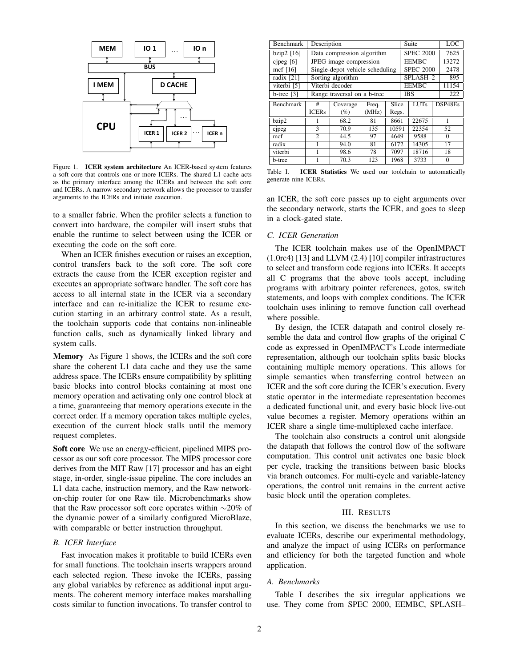

Figure 1. ICER system architecture An ICER-based system features a soft core that controls one or more ICERs. The shared L1 cache acts as the primary interface among the ICERs and between the soft core and ICERs. A narrow secondary network allows the processor to transfer arguments to the ICERs and initiate execution.

to a smaller fabric. When the profiler selects a function to convert into hardware, the compiler will insert stubs that enable the runtime to select between using the ICER or executing the code on the soft core.

When an ICER finishes execution or raises an exception, control transfers back to the soft core. The soft core extracts the cause from the ICER exception register and executes an appropriate software handler. The soft core has access to all internal state in the ICER via a secondary interface and can re-initialize the ICER to resume execution starting in an arbitrary control state. As a result, the toolchain supports code that contains non-inlineable function calls, such as dynamically linked library and system calls.

Memory As Figure 1 shows, the ICERs and the soft core share the coherent L1 data cache and they use the same address space. The ICERs ensure compatibility by splitting basic blocks into control blocks containing at most one memory operation and activating only one control block at a time, guaranteeing that memory operations execute in the correct order. If a memory operation takes multiple cycles, execution of the current block stalls until the memory request completes.

Soft core We use an energy-efficient, pipelined MIPS processor as our soft core processor. The MIPS processor core derives from the MIT Raw [17] processor and has an eight stage, in-order, single-issue pipeline. The core includes an L1 data cache, instruction memory, and the Raw networkon-chip router for one Raw tile. Microbenchmarks show that the Raw processor soft core operates within ∼20% of the dynamic power of a similarly configured MicroBlaze, with comparable or better instruction throughput.

## *B. ICER Interface*

Fast invocation makes it profitable to build ICERs even for small functions. The toolchain inserts wrappers around each selected region. These invoke the ICERs, passing any global variables by reference as additional input arguments. The coherent memory interface makes marshalling costs similar to function invocations. To transfer control to

| <b>Benchmark</b> | Description                     |          |       |       | Suite            |              |          | LOC   |
|------------------|---------------------------------|----------|-------|-------|------------------|--------------|----------|-------|
| $bzip2$ [16]     | Data compression algorithm      |          |       |       | <b>SPEC 2000</b> |              | 7625     |       |
| cipeg $[6]$      | JPEG image compression          |          |       |       | <b>EEMBC</b>     |              |          | 13272 |
| mcf [16]         | Single-depot vehicle scheduling |          |       |       | <b>SPEC 2000</b> |              | 2478     |       |
| radix [21]       | Sorting algorithm               |          |       |       | SPLASH-2         |              | 895      |       |
| viterbi [5]      | Viterbi decoder                 |          |       |       |                  | <b>EEMBC</b> |          | 11154 |
| $b$ -tree [3]    | Range traversal on a b-tree     |          |       |       | IBS              |              | 222      |       |
| <b>Benchmark</b> | #                               | Coverage | Freq. | Slice |                  | <b>LUTs</b>  | DSP48Es  |       |
|                  | <b>ICERs</b>                    | $(\%)$   | (MHz) | Regs. |                  |              |          |       |
| bzip2            |                                 | 68.2     | 81    | 8661  |                  | 22675        | 1        |       |
| cjpeg            | 3                               | 70.9     | 135   | 10591 |                  | 22354        | 52       |       |
| mcf              | $\mathfrak{D}$                  | 44.5     | 97    | 4649  |                  | 9588         | $\Omega$ |       |
| radix            | 1                               | 94.0     | 81    | 6172  |                  | 14305        | 17       |       |
| viterbi          | 1                               | 98.6     | 78    | 7097  |                  | 18716        | 18       |       |
| b-tree           | 1                               | 70.3     | 123   | 1968  |                  | 3733         | $\theta$ |       |

Table I. ICER Statistics We used our toolchain to automatically generate nine ICERs.

an ICER, the soft core passes up to eight arguments over the secondary network, starts the ICER, and goes to sleep in a clock-gated state.

# *C. ICER Generation*

The ICER toolchain makes use of the OpenIMPACT (1.0rc4) [13] and LLVM (2.4) [10] compiler infrastructures to select and transform code regions into ICERs. It accepts all C programs that the above tools accept, including programs with arbitrary pointer references, gotos, switch statements, and loops with complex conditions. The ICER toolchain uses inlining to remove function call overhead where possible.

By design, the ICER datapath and control closely resemble the data and control flow graphs of the original C code as expressed in OpenIMPACT's Lcode intermediate representation, although our toolchain splits basic blocks containing multiple memory operations. This allows for simple semantics when transferring control between an ICER and the soft core during the ICER's execution. Every static operator in the intermediate representation becomes a dedicated functional unit, and every basic block live-out value becomes a register. Memory operations within an ICER share a single time-multiplexed cache interface.

The toolchain also constructs a control unit alongside the datapath that follows the control flow of the software computation. This control unit activates one basic block per cycle, tracking the transitions between basic blocks via branch outcomes. For multi-cycle and variable-latency operations, the control unit remains in the current active basic block until the operation completes.

## III. RESULTS

In this section, we discuss the benchmarks we use to evaluate ICERs, describe our experimental methodology, and analyze the impact of using ICERs on performance and efficiency for both the targeted function and whole application.

#### *A. Benchmarks*

Table I describes the six irregular applications we use. They come from SPEC 2000, EEMBC, SPLASH–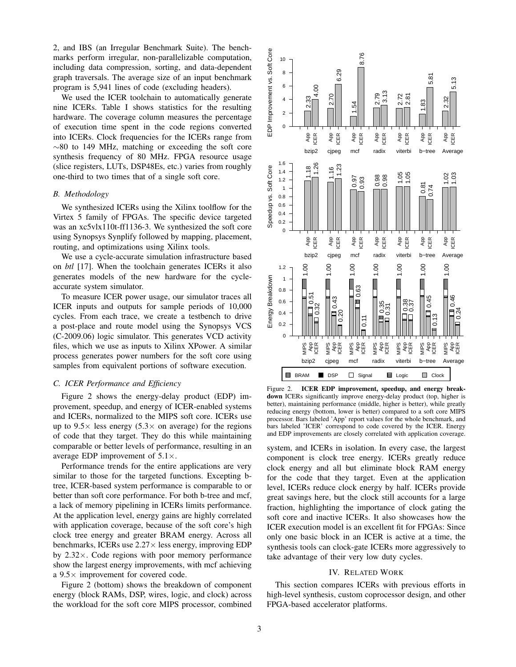2, and IBS (an Irregular Benchmark Suite). The benchmarks perform irregular, non-parallelizable computation, including data compression, sorting, and data-dependent graph traversals. The average size of an input benchmark program is 5,941 lines of code (excluding headers).

We used the ICER toolchain to automatically generate nine ICERs. Table I shows statistics for the resulting hardware. The coverage column measures the percentage of execution time spent in the code regions converted into ICERs. Clock frequencies for the ICERs range from ∼80 to 149 MHz, matching or exceeding the soft core synthesis frequency of 80 MHz. FPGA resource usage (slice registers, LUTs, DSP48Es, etc.) varies from roughly one-third to two times that of a single soft core.

# *B. Methodology*

We synthesized ICERs using the Xilinx toolflow for the Virtex 5 family of FPGAs. The specific device targeted was an xc5vlx110t-ff1136-3. We synthesized the soft core using Synopsys Synplify followed by mapping, placement, routing, and optimizations using Xilinx tools.

We use a cycle-accurate simulation infrastructure based on *btl* [17]. When the toolchain generates ICERs it also generates models of the new hardware for the cycleaccurate system simulator.

To measure ICER power usage, our simulator traces all ICER inputs and outputs for sample periods of 10,000 cycles. From each trace, we create a testbench to drive a post-place and route model using the Synopsys VCS (C-2009.06) logic simulator. This generates VCD activity files, which we use as inputs to Xilinx XPower. A similar process generates power numbers for the soft core using samples from equivalent portions of software execution.

# *C. ICER Performance and Efficiency*

Figure 2 shows the energy-delay product (EDP) improvement, speedup, and energy of ICER-enabled systems and ICERs, normalized to the MIPS soft core. ICERs use up to  $9.5 \times$  less energy (5.3 $\times$  on average) for the regions of code that they target. They do this while maintaining comparable or better levels of performance, resulting in an average EDP improvement of  $5.1 \times$ .

Performance trends for the entire applications are very similar to those for the targeted functions. Excepting btree, ICER-based system performance is comparable to or better than soft core performance. For both b-tree and mcf, a lack of memory pipelining in ICERs limits performance. At the application level, energy gains are highly correlated with application coverage, because of the soft core's high clock tree energy and greater BRAM energy. Across all benchmarks, ICERs use  $2.27 \times$  less energy, improving EDP by 2.32×. Code regions with poor memory performance show the largest energy improvements, with mcf achieving a 9.5× improvement for covered code.

Figure 2 (bottom) shows the breakdown of component energy (block RAMs, DSP, wires, logic, and clock) across



Figure 2. ICER EDP improvement, speedup, and energy breakdown ICERs significantly improve energy-delay product (top, higher is better), maintaining performance (middle, higher is better), while greatly reducing energy (bottom, lower is better) compared to a soft core MIPS processor. Bars labeled 'App' report values for the whole benchmark, and bars labeled 'ICER' correspond to code covered by the ICER. Energy and EDP improvements are closely correlated with application coverage.

system, and ICERs in isolation. In every case, the largest component is clock tree energy. ICERs greatly reduce clock energy and all but eliminate block RAM energy for the code that they target. Even at the application level, ICERs reduce clock energy by half. ICERs provide great savings here, but the clock still accounts for a large fraction, highlighting the importance of clock gating the soft core and inactive ICERs. It also showcases how the ICER execution model is an excellent fit for FPGAs: Since only one basic block in an ICER is active at a time, the synthesis tools can clock-gate ICERs more aggressively to take advantage of their very low duty cycles.

# IV. RELATED WORK

This section compares ICERs with previous efforts in high-level synthesis, custom coprocessor design, and other FPGA-based accelerator platforms.